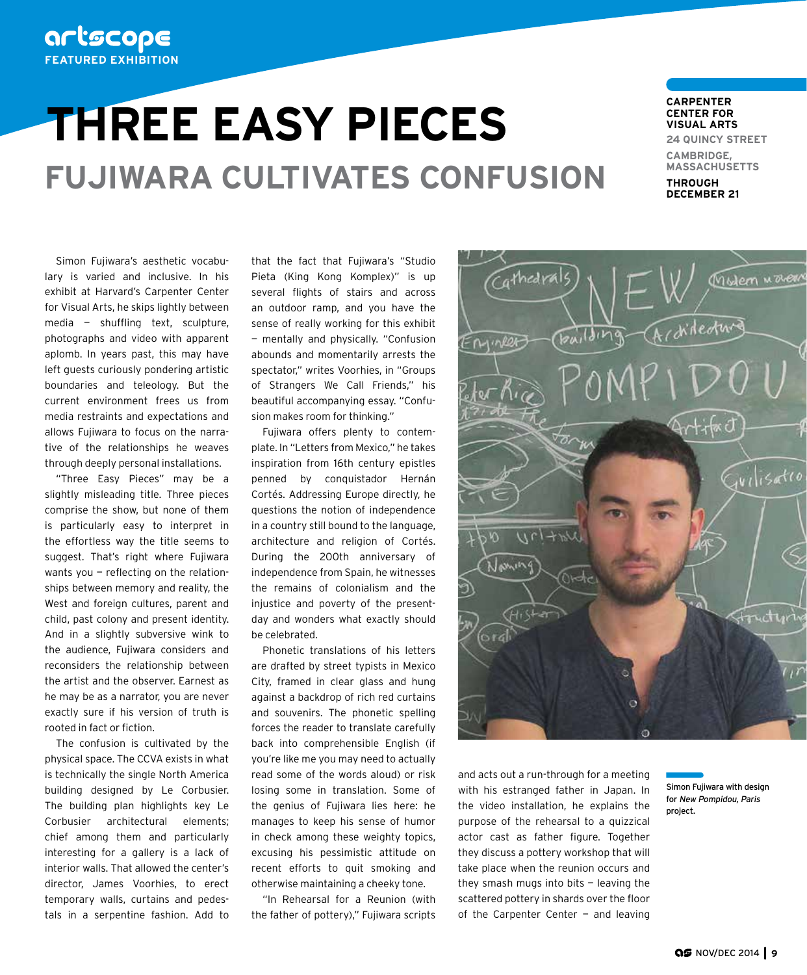## artscope **FEATURED EXHIBITION**

# **THREE EASY PIECES FUJIWARA CULTIVATES CONFUSION**

#### **CARPENTER CENTER FOR VISUAL ARTS**

**24 QUINCY STREET**

**CAMBRIDGE, MASSACHUSETTS THROUGH** 

**DECEMBER 21**

Simon Fujiwara's aesthetic vocabulary is varied and inclusive. In his exhibit at Harvard's Carpenter Center for Visual Arts, he skips lightly between media — shuffling text, sculpture, photographs and video with apparent aplomb. In years past, this may have left guests curiously pondering artistic boundaries and teleology. But the current environment frees us from media restraints and expectations and allows Fujiwara to focus on the narrative of the relationships he weaves through deeply personal installations.

"Three Easy Pieces" may be a slightly misleading title. Three pieces comprise the show, but none of them is particularly easy to interpret in the effortless way the title seems to suggest. That's right where Fujiwara wants you — reflecting on the relationships between memory and reality, the West and foreign cultures, parent and child, past colony and present identity. And in a slightly subversive wink to the audience, Fujiwara considers and reconsiders the relationship between the artist and the observer. Earnest as he may be as a narrator, you are never exactly sure if his version of truth is rooted in fact or fiction.

The confusion is cultivated by the physical space. The CCVA exists in what is technically the single North America building designed by Le Corbusier. The building plan highlights key Le Corbusier architectural elements; chief among them and particularly interesting for a gallery is a lack of interior walls. That allowed the center's director, James Voorhies, to erect temporary walls, curtains and pedestals in a serpentine fashion. Add to

that the fact that Fujiwara's "Studio Pieta (King Kong Komplex)" is up several flights of stairs and across an outdoor ramp, and you have the sense of really working for this exhibit — mentally and physically. "Confusion abounds and momentarily arrests the spectator," writes Voorhies, in "Groups of Strangers We Call Friends," his beautiful accompanying essay. "Confusion makes room for thinking."

Fujiwara offers plenty to contemplate. In "Letters from Mexico," he takes inspiration from 16th century epistles penned by conquistador Hernán Cortés. Addressing Europe directly, he questions the notion of independence in a country still bound to the language, architecture and religion of Cortés. During the 200th anniversary of independence from Spain, he witnesses the remains of colonialism and the injustice and poverty of the presentday and wonders what exactly should be celebrated.

Phonetic translations of his letters are drafted by street typists in Mexico City, framed in clear glass and hung against a backdrop of rich red curtains and souvenirs. The phonetic spelling forces the reader to translate carefully back into comprehensible English (if you're like me you may need to actually read some of the words aloud) or risk losing some in translation. Some of the genius of Fujiwara lies here: he manages to keep his sense of humor in check among these weighty topics, excusing his pessimistic attitude on recent efforts to quit smoking and otherwise maintaining a cheeky tone.

"In Rehearsal for a Reunion (with the father of pottery)," Fujiwara scripts



and acts out a run-through for a meeting with his estranged father in Japan. In the video installation, he explains the purpose of the rehearsal to a quizzical actor cast as father figure. Together they discuss a pottery workshop that will take place when the reunion occurs and they smash mugs into bits — leaving the scattered pottery in shards over the floor of the Carpenter Center  $-$  and leaving

Simon Fujiwara with design for New Pompidou, Paris project.